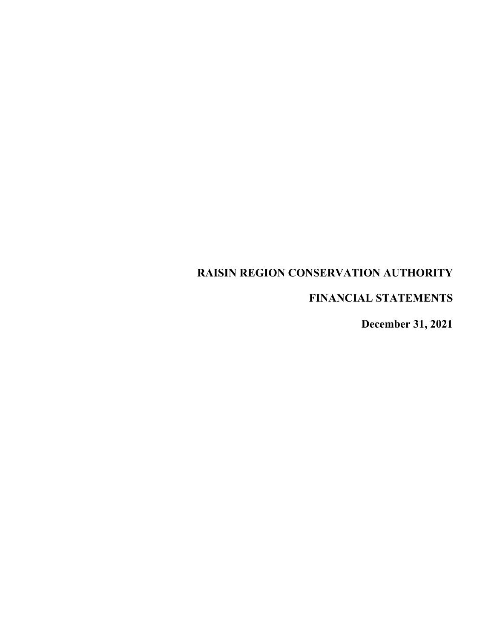# **FINANCIAL STATEMENTS**

**December 31, 2021**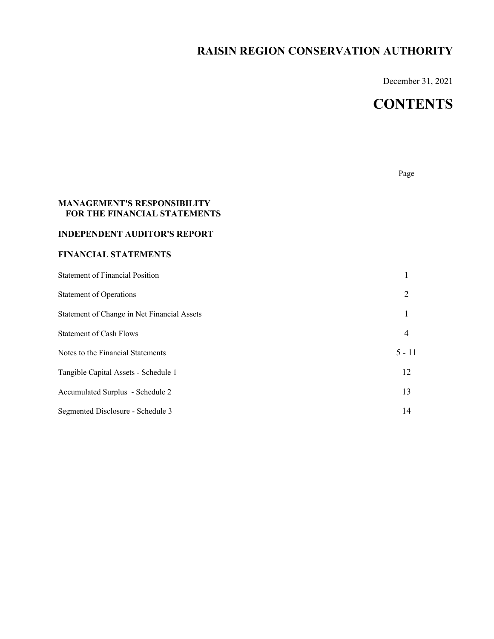December 31, 2021

# **CONTENTS**

|                                                                           | Page     |
|---------------------------------------------------------------------------|----------|
| <b>MANAGEMENT'S RESPONSIBILITY</b><br><b>FOR THE FINANCIAL STATEMENTS</b> |          |
| <b>INDEPENDENT AUDITOR'S REPORT</b>                                       |          |
| <b>FINANCIAL STATEMENTS</b>                                               |          |
| <b>Statement of Financial Position</b>                                    | 1        |
| <b>Statement of Operations</b>                                            | 2        |
| Statement of Change in Net Financial Assets                               | 1        |
| <b>Statement of Cash Flows</b>                                            | 4        |
| Notes to the Financial Statements                                         | $5 - 11$ |
| Tangible Capital Assets - Schedule 1                                      | 12       |
| Accumulated Surplus - Schedule 2                                          | 13       |
| Segmented Disclosure - Schedule 3                                         | 14       |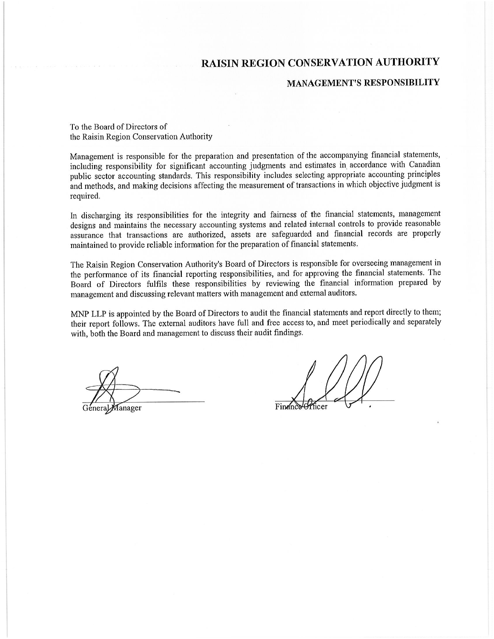#### **MANAGEMENT'S RESPONSIBILITY**

To the Board of Directors of the Raisin Region Conservation Authority

Management is responsible for the preparation and presentation of the accompanying financial statements, including responsibility for significant accounting judgments and estimates in accordance with Canadian public sector accounting standards. This responsibility includes selecting appropriate accounting principles and methods, and making decisions affecting the measurement of transactions in which objective judgment is required.

In discharging its responsibilities for the integrity and fairness of the financial statements, management designs and maintains the necessary accounting systems and related internal controls to provide reasonable assurance that transactions are authorized, assets are safeguarded and financial records are properly maintained to provide reliable information for the preparation of financial statements.

The Raisin Region Conservation Authority's Board of Directors is responsible for overseeing management in the performance of its financial reporting responsibilities, and for approving the financial statements. The Board of Directors fulfils these responsibilities by reviewing the financial information prepared by management and discussing relevant matters with management and external auditors.

MNP LLP is appointed by the Board of Directors to audit the financial statements and report directly to them; their report follows. The external auditors have full and free access to, and meet periodically and separately with, both the Board and management to discuss their audit findings.

General Manager

cei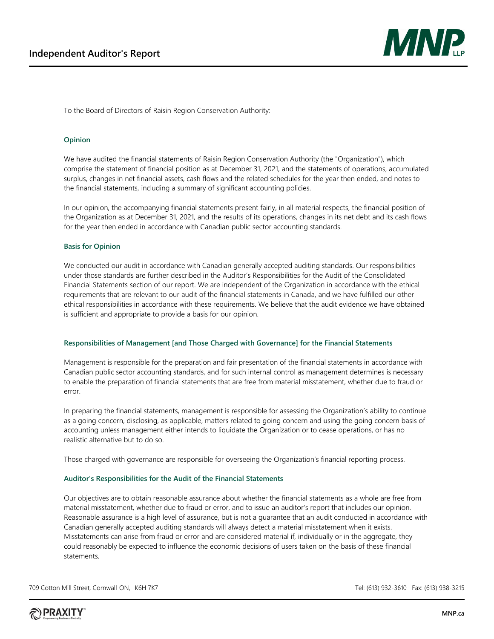

To the Board of Directors of Raisin Region Conservation Authority:

#### **Opinion**

We have audited the financial statements of Raisin Region Conservation Authority (the "Organization"), which comprise the statement of financial position as at December 31, 2021, and the statements of operations, accumulated surplus, changes in net financial assets, cash flows and the related schedules for the year then ended, and notes to the financial statements, including a summary of significant accounting policies.

In our opinion, the accompanying financial statements present fairly, in all material respects, the financial position of the Organization as at December 31, 2021, and the results of its operations, changes in its net debt and its cash flows for the year then ended in accordance with Canadian public sector accounting standards.

#### **Basis for Opinion**

We conducted our audit in accordance with Canadian generally accepted auditing standards. Our responsibilities under those standards are further described in the Auditor's Responsibilities for the Audit of the Consolidated Financial Statements section of our report. We are independent of the Organization in accordance with the ethical requirements that are relevant to our audit of the financial statements in Canada, and we have fulfilled our other ethical responsibilities in accordance with these requirements. We believe that the audit evidence we have obtained is sufficient and appropriate to provide a basis for our opinion.

#### **Responsibilities of Management [and Those Charged with Governance] for the Financial Statements**

Management is responsible for the preparation and fair presentation of the financial statements in accordance with Canadian public sector accounting standards, and for such internal control as management determines is necessary to enable the preparation of financial statements that are free from material misstatement, whether due to fraud or error.

In preparing the financial statements, management is responsible for assessing the Organization's ability to continue as a going concern, disclosing, as applicable, matters related to going concern and using the going concern basis of accounting unless management either intends to liquidate the Organization or to cease operations, or has no realistic alternative but to do so.

Those charged with governance are responsible for overseeing the Organization's financial reporting process.

#### **Auditor's Responsibilities for the Audit of the Financial Statements**

Our objectives are to obtain reasonable assurance about whether the financial statements as a whole are free from material misstatement, whether due to fraud or error, and to issue an auditor's report that includes our opinion. Reasonable assurance is a high level of assurance, but is not a guarantee that an audit conducted in accordance with Canadian generally accepted auditing standards will always detect a material misstatement when it exists. Misstatements can arise from fraud or error and are considered material if, individually or in the aggregate, they could reasonably be expected to influence the economic decisions of users taken on the basis of these financial statements.

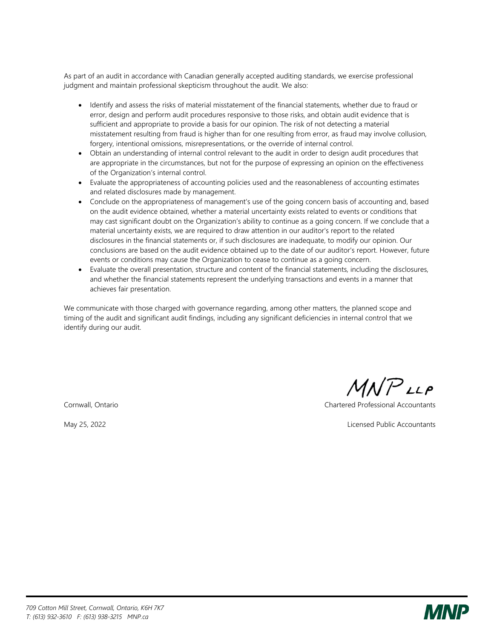As part of an audit in accordance with Canadian generally accepted auditing standards, we exercise professional judgment and maintain professional skepticism throughout the audit. We also:

- Identify and assess the risks of material misstatement of the financial statements, whether due to fraud or error, design and perform audit procedures responsive to those risks, and obtain audit evidence that is sufficient and appropriate to provide a basis for our opinion. The risk of not detecting a material misstatement resulting from fraud is higher than for one resulting from error, as fraud may involve collusion, forgery, intentional omissions, misrepresentations, or the override of internal control.
- Obtain an understanding of internal control relevant to the audit in order to design audit procedures that are appropriate in the circumstances, but not for the purpose of expressing an opinion on the effectiveness of the Organization's internal control.
- Evaluate the appropriateness of accounting policies used and the reasonableness of accounting estimates and related disclosures made by management.
- Conclude on the appropriateness of management's use of the going concern basis of accounting and, based on the audit evidence obtained, whether a material uncertainty exists related to events or conditions that may cast significant doubt on the Organization's ability to continue as a going concern. If we conclude that a material uncertainty exists, we are required to draw attention in our auditor's report to the related disclosures in the financial statements or, if such disclosures are inadequate, to modify our opinion. Our conclusions are based on the audit evidence obtained up to the date of our auditor's report. However, future events or conditions may cause the Organization to cease to continue as a going concern.
- Evaluate the overall presentation, structure and content of the financial statements, including the disclosures, and whether the financial statements represent the underlying transactions and events in a manner that achieves fair presentation.

We communicate with those charged with governance regarding, among other matters, the planned scope and timing of the audit and significant audit findings, including any significant deficiencies in internal control that we identify during our audit.

 $MNP$ LLP

Cornwall, Ontario Chartered Professional Accountants

May 25, 2022 Licensed Public Accountants

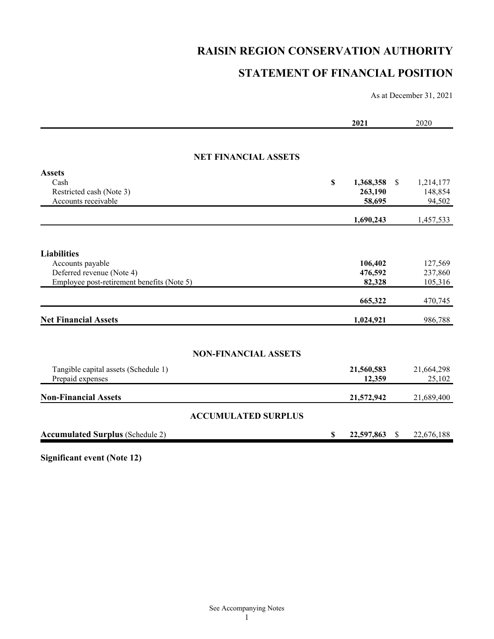# **STATEMENT OF FINANCIAL POSITION**

As at December 31, 2021

|                                                 | 2021                                   | 2020                      |
|-------------------------------------------------|----------------------------------------|---------------------------|
|                                                 |                                        |                           |
|                                                 | <b>NET FINANCIAL ASSETS</b>            |                           |
| <b>Assets</b>                                   |                                        |                           |
| Cash                                            | $\boldsymbol{\mathsf{S}}$<br>1,368,358 | 1,214,177<br>$\mathbb{S}$ |
| Restricted cash (Note 3)<br>Accounts receivable | 263,190<br>58,695                      | 148,854<br>94,502         |
|                                                 |                                        |                           |
|                                                 | 1,690,243                              | 1,457,533                 |
|                                                 |                                        |                           |
| <b>Liabilities</b>                              |                                        |                           |
| Accounts payable                                | 106,402                                | 127,569                   |
| Deferred revenue (Note 4)                       | 476,592                                | 237,860                   |
| Employee post-retirement benefits (Note 5)      | 82,328                                 | 105,316                   |
|                                                 | 665,322                                | 470,745                   |
| <b>Net Financial Assets</b>                     | 1,024,921                              | 986,788                   |
|                                                 |                                        |                           |
|                                                 | <b>NON-FINANCIAL ASSETS</b>            |                           |
| Tangible capital assets (Schedule 1)            | 21,560,583                             | 21,664,298                |
| Prepaid expenses                                | 12,359                                 | 25,102                    |
| <b>Non-Financial Assets</b>                     | 21,572,942                             | 21,689,400                |
|                                                 | <b>ACCUMULATED SURPLUS</b>             |                           |
|                                                 |                                        |                           |
| <b>Accumulated Surplus (Schedule 2)</b>         | \$<br>22,597,863                       | 22,676,188<br>\$          |

**Significant event (Note 12)**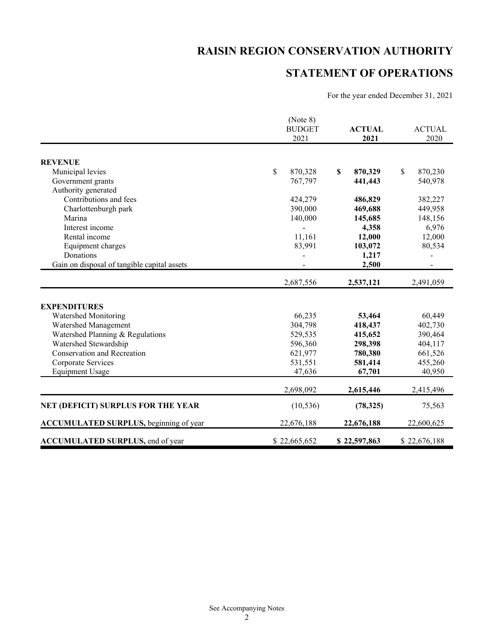# **STATEMENT OF OPERATIONS**

|                                               | (Note 8)<br><b>BUDGET</b><br>2021 | <b>ACTUAL</b><br>2021  | <b>ACTUAL</b><br>2020 |
|-----------------------------------------------|-----------------------------------|------------------------|-----------------------|
|                                               |                                   |                        |                       |
| <b>REVENUE</b>                                |                                   |                        |                       |
| Municipal levies                              | \$<br>870,328                     | $\mathbf S$<br>870,329 | \$<br>870,230         |
| Government grants                             | 767,797                           | 441,443                | 540,978               |
| Authority generated                           |                                   |                        |                       |
| Contributions and fees                        | 424,279                           | 486,829                | 382,227               |
| Charlottenburgh park                          | 390,000                           | 469,688                | 449,958               |
| Marina                                        | 140,000                           | 145,685                | 148,156               |
| Interest income                               |                                   | 4,358                  | 6,976                 |
| Rental income                                 | 11,161                            | 12,000                 | 12,000                |
| Equipment charges                             | 83,991                            | 103,072                | 80,534                |
| Donations                                     |                                   | 1,217                  |                       |
| Gain on disposal of tangible capital assets   |                                   | 2,500                  |                       |
|                                               |                                   |                        |                       |
|                                               | 2,687,556                         | 2,537,121              | 2,491,059             |
|                                               |                                   |                        |                       |
| <b>EXPENDITURES</b>                           |                                   |                        |                       |
| Watershed Monitoring                          | 66,235                            | 53,464                 | 60,449                |
| Watershed Management                          | 304,798                           | 418,437                | 402,730               |
| Watershed Planning & Regulations              | 529,535                           | 415,652                | 390,464               |
| Watershed Stewardship                         | 596,360                           | 298,398                | 404,117               |
| Conservation and Recreation                   | 621,977                           | 780,380                | 661,526               |
| Corporate Services                            | 531,551                           | 581,414                | 455,260               |
| <b>Equipment Usage</b>                        | 47,636                            | 67,701                 | 40,950                |
|                                               | 2,698,092                         | 2,615,446              | 2,415,496             |
| NET (DEFICIT) SURPLUS FOR THE YEAR            | (10, 536)                         | (78, 325)              | 75,563                |
| <b>ACCUMULATED SURPLUS, beginning of year</b> | 22,676,188                        | 22,676,188             | 22,600,625            |
| <b>ACCUMULATED SURPLUS, end of year</b>       | \$22,665,652                      | \$22,597,863           | \$22,676,188          |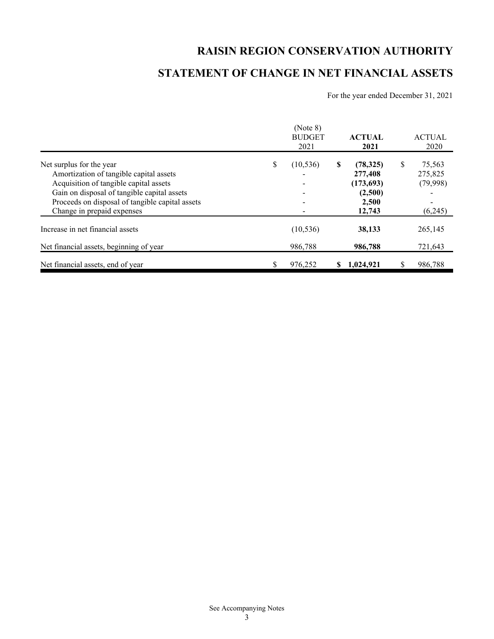# **STATEMENT OF CHANGE IN NET FINANCIAL ASSETS**

|                                                                                                                                                                                                                                               |    | (Note 8)<br><b>BUDGET</b><br>2021 |   | <b>ACTUAL</b><br>2021                                          |    | <b>ACTUAL</b><br>2020                         |
|-----------------------------------------------------------------------------------------------------------------------------------------------------------------------------------------------------------------------------------------------|----|-----------------------------------|---|----------------------------------------------------------------|----|-----------------------------------------------|
| Net surplus for the year<br>Amortization of tangible capital assets<br>Acquisition of tangible capital assets<br>Gain on disposal of tangible capital assets<br>Proceeds on disposal of tangible capital assets<br>Change in prepaid expenses | \$ | (10, 536)                         | S | (78,325)<br>277,408<br>(173,693)<br>(2,500)<br>2,500<br>12,743 | S. | 75,563<br>275,825<br>(79,998)<br>-<br>(6,245) |
| Increase in net financial assets<br>Net financial assets, beginning of year                                                                                                                                                                   |    | (10, 536)<br>986,788              |   | 38,133<br>986,788                                              |    | 265,145<br>721,643                            |
| Net financial assets, end of year                                                                                                                                                                                                             | S  | 976,252                           |   | 1,024,921                                                      |    | 986,788                                       |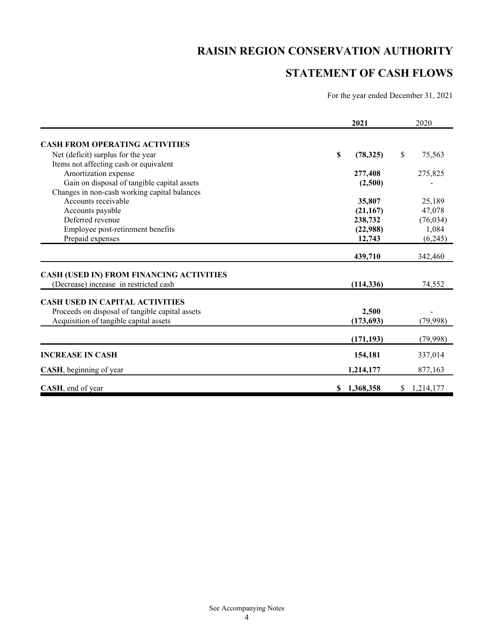# **STATEMENT OF CASH FLOWS**

|                                                 | 2021           | 2020                   |  |  |
|-------------------------------------------------|----------------|------------------------|--|--|
|                                                 |                |                        |  |  |
| <b>CASH FROM OPERATING ACTIVITIES</b>           |                |                        |  |  |
| Net (deficit) surplus for the year              | \$<br>(78,325) | $\mathbb{S}$<br>75,563 |  |  |
| Items not affecting cash or equivalent          |                |                        |  |  |
| Amortization expense                            | 277,408        | 275,825                |  |  |
| Gain on disposal of tangible capital assets     | (2,500)        |                        |  |  |
| Changes in non-cash working capital balances    |                |                        |  |  |
| Accounts receivable                             | 35,807         | 25,189                 |  |  |
| Accounts payable                                | (21, 167)      | 47,078                 |  |  |
| Deferred revenue                                | 238,732        | (76, 034)              |  |  |
| Employee post-retirement benefits               | (22,988)       | 1,084                  |  |  |
| Prepaid expenses                                | 12,743         | (6,245)                |  |  |
|                                                 | 439,710        | 342,460                |  |  |
|                                                 |                |                        |  |  |
| <b>CASH (USED IN) FROM FINANCING ACTIVITIES</b> |                |                        |  |  |
| (Decrease) increase in restricted cash          | (114, 336)     | 74,552                 |  |  |
| <b>CASH USED IN CAPITAL ACTIVITIES</b>          |                |                        |  |  |
| Proceeds on disposal of tangible capital assets | 2,500          |                        |  |  |
| Acquisition of tangible capital assets          | (173, 693)     | (79,998)               |  |  |
|                                                 | (171, 193)     | (79,998)               |  |  |
|                                                 |                |                        |  |  |
| <b>INCREASE IN CASH</b>                         | 154,181        | 337,014                |  |  |
| CASH, beginning of year                         | 1,214,177      | 877,163                |  |  |
| CASH, end of year                               | \$1,368,358    | \$1,214,177            |  |  |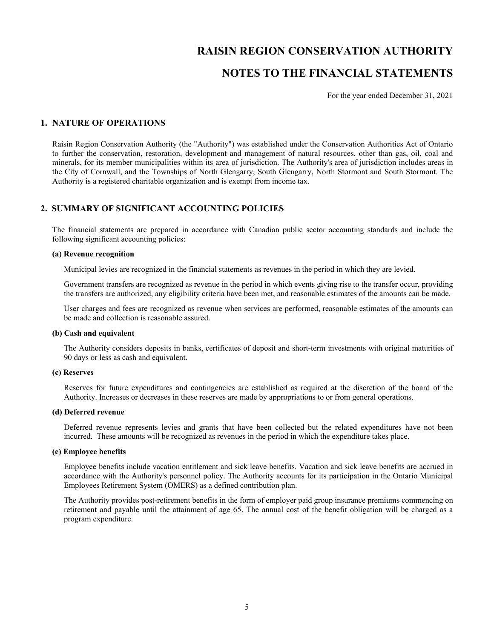# **RAISIN REGION CONSERVATION AUTHORITY NOTES TO THE FINANCIAL STATEMENTS**

For the year ended December 31, 2021

### **1. NATURE OF OPERATIONS**

Raisin Region Conservation Authority (the "Authority") was established under the Conservation Authorities Act of Ontario to further the conservation, restoration, development and management of natural resources, other than gas, oil, coal and minerals, for its member municipalities within its area of jurisdiction. The Authority's area of jurisdiction includes areas in the City of Cornwall, and the Townships of North Glengarry, South Glengarry, North Stormont and South Stormont. The Authority is a registered charitable organization and is exempt from income tax.

### **2. SUMMARY OF SIGNIFICANT ACCOUNTING POLICIES**

The financial statements are prepared in accordance with Canadian public sector accounting standards and include the following significant accounting policies:

#### **(a) Revenue recognition**

Municipal levies are recognized in the financial statements as revenues in the period in which they are levied.

Government transfers are recognized as revenue in the period in which events giving rise to the transfer occur, providing the transfers are authorized, any eligibility criteria have been met, and reasonable estimates of the amounts can be made.

User charges and fees are recognized as revenue when services are performed, reasonable estimates of the amounts can be made and collection is reasonable assured.

#### **(b) Cash and equivalent**

The Authority considers deposits in banks, certificates of deposit and short-term investments with original maturities of 90 days or less as cash and equivalent.

#### **(c) Reserves**

Reserves for future expenditures and contingencies are established as required at the discretion of the board of the Authority. Increases or decreases in these reserves are made by appropriations to or from general operations.

#### **(d) Deferred revenue**

Deferred revenue represents levies and grants that have been collected but the related expenditures have not been incurred. These amounts will be recognized as revenues in the period in which the expenditure takes place.

#### **(e) Employee benefits**

Employee benefits include vacation entitlement and sick leave benefits. Vacation and sick leave benefits are accrued in accordance with the Authority's personnel policy. The Authority accounts for its participation in the Ontario Municipal Employees Retirement System (OMERS) as a defined contribution plan.

The Authority provides post-retirement benefits in the form of employer paid group insurance premiums commencing on retirement and payable until the attainment of age 65. The annual cost of the benefit obligation will be charged as a program expenditure.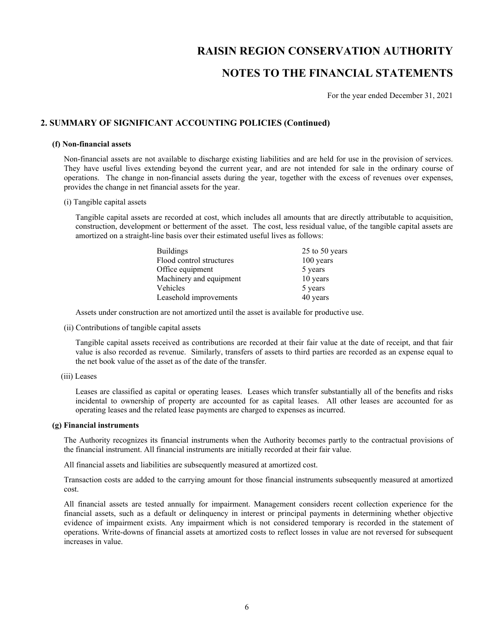### **NOTES TO THE FINANCIAL STATEMENTS**

For the year ended December 31, 2021

### **2. SUMMARY OF SIGNIFICANT ACCOUNTING POLICIES (Continued)**

#### **(f) Non-financial assets**

Non-financial assets are not available to discharge existing liabilities and are held for use in the provision of services. They have useful lives extending beyond the current year, and are not intended for sale in the ordinary course of operations. The change in non-financial assets during the year, together with the excess of revenues over expenses, provides the change in net financial assets for the year.

#### (i) Tangible capital assets

Tangible capital assets are recorded at cost, which includes all amounts that are directly attributable to acquisition, construction, development or betterment of the asset. The cost, less residual value, of the tangible capital assets are amortized on a straight-line basis over their estimated useful lives as follows:

| <b>Buildings</b>         | $25$ to $50$ years |
|--------------------------|--------------------|
| Flood control structures | 100 years          |
| Office equipment         | 5 years            |
| Machinery and equipment  | 10 years           |
| Vehicles                 | 5 years            |
| Leasehold improvements   | 40 years           |

Assets under construction are not amortized until the asset is available for productive use.

(ii) Contributions of tangible capital assets

Tangible capital assets received as contributions are recorded at their fair value at the date of receipt, and that fair value is also recorded as revenue. Similarly, transfers of assets to third parties are recorded as an expense equal to the net book value of the asset as of the date of the transfer.

(iii) Leases

Leases are classified as capital or operating leases. Leases which transfer substantially all of the benefits and risks incidental to ownership of property are accounted for as capital leases. All other leases are accounted for as operating leases and the related lease payments are charged to expenses as incurred.

#### **(g) Financial instruments**

The Authority recognizes its financial instruments when the Authority becomes partly to the contractual provisions of the financial instrument. All financial instruments are initially recorded at their fair value.

All financial assets and liabilities are subsequently measured at amortized cost.

Transaction costs are added to the carrying amount for those financial instruments subsequently measured at amortized cost.

All financial assets are tested annually for impairment. Management considers recent collection experience for the financial assets, such as a default or delinquency in interest or principal payments in determining whether objective evidence of impairment exists. Any impairment which is not considered temporary is recorded in the statement of operations. Write-downs of financial assets at amortized costs to reflect losses in value are not reversed for subsequent increases in value.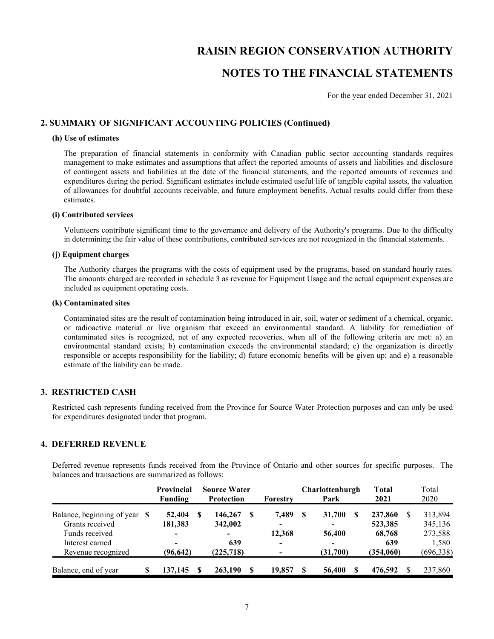### **NOTES TO THE FINANCIAL STATEMENTS**

For the year ended December 31, 2021

### **2. SUMMARY OF SIGNIFICANT ACCOUNTING POLICIES (Continued)**

#### **(h) Use of estimates**

The preparation of financial statements in conformity with Canadian public sector accounting standards requires management to make estimates and assumptions that affect the reported amounts of assets and liabilities and disclosure of contingent assets and liabilities at the date of the financial statements, and the reported amounts of revenues and expenditures during the period. Significant estimates include estimated useful life of tangible capital assets, the valuation of allowances for doubtful accounts receivable, and future employment benefits. Actual results could differ from these estimates.

#### **(i) Contributed services**

Volunteers contribute significant time to the governance and delivery of the Authority's programs. Due to the difficulty in determining the fair value of these contributions, contributed services are not recognized in the financial statements.

#### **(j) Equipment charges**

The Authority charges the programs with the costs of equipment used by the programs, based on standard hourly rates. The amounts charged are recorded in schedule 3 as revenue for Equipment Usage and the actual equipment expenses are included as equipment operating costs.

#### **(k) Contaminated sites**

Contaminated sites are the result of contamination being introduced in air, soil, water or sediment of a chemical, organic, or radioactive material or live organism that exceed an environmental standard. A liability for remediation of contaminated sites is recognized, net of any expected recoveries, when all of the following criteria are met: a) an environmental standard exists; b) contamination exceeds the environmental standard; c) the organization is directly responsible or accepts responsibility for the liability; d) future economic benefits will be given up; and e) a reasonable estimate of the liability can be made.

### **3. RESTRICTED CASH**

Restricted cash represents funding received from the Province for Source Water Protection purposes and can only be used for expenditures designated under that program.

### **4. DEFERRED REVENUE**

Deferred revenue represents funds received from the Province of Ontario and other sources for specific purposes. The balances and transactions are summarized as follows:

|                               | <b>Provincial</b><br>Funding |   | <b>Source Water</b><br><b>Protection</b> | Forestry                 | Charlottenburgh<br>Park  | Total<br>2021 | Total<br>2020 |
|-------------------------------|------------------------------|---|------------------------------------------|--------------------------|--------------------------|---------------|---------------|
| Balance, beginning of year \$ | 52,404                       | S | 146,267                                  | 7.489                    | 31,700                   | 237,860       | 313,894       |
| Grants received               | 181,383                      |   | 342,002                                  | $\overline{\phantom{a}}$ | $\overline{\phantom{0}}$ | 523,385       | 345,136       |
| Funds received                | $\overline{\phantom{0}}$     |   |                                          | 12.368                   | 56,400                   | 68,768        | 273,588       |
| Interest earned               | -                            |   | 639                                      | $\overline{\phantom{0}}$ | $\,$                     | 639           | 1,580         |
| Revenue recognized            | (96, 642)                    |   | (225, 718)                               |                          | (31,700)                 | (354,060)     | (696, 338)    |
| Balance, end of year          | 137.145                      |   | 263,190                                  | 19,857                   | 56,400                   | 476,592       | 237,860       |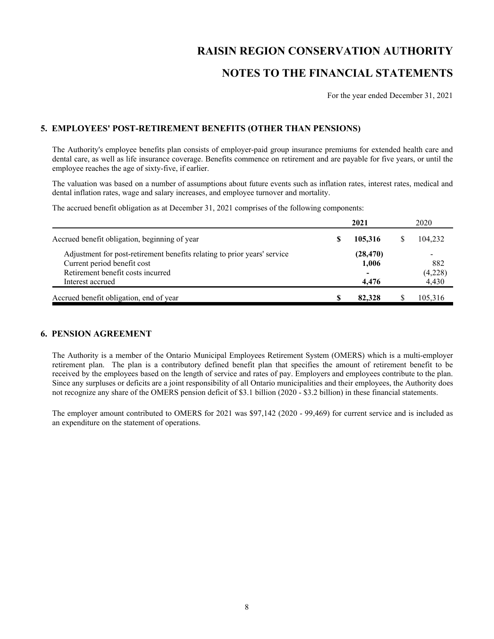## **NOTES TO THE FINANCIAL STATEMENTS**

For the year ended December 31, 2021

### **5. EMPLOYEES' POST-RETIREMENT BENEFITS (OTHER THAN PENSIONS)**

The Authority's employee benefits plan consists of employer-paid group insurance premiums for extended health care and dental care, as well as life insurance coverage. Benefits commence on retirement and are payable for five years, or until the employee reaches the age of sixty-five, if earlier.

The valuation was based on a number of assumptions about future events such as inflation rates, interest rates, medical and dental inflation rates, wage and salary increases, and employee turnover and mortality.

The accrued benefit obligation as at December 31, 2021 comprises of the following components:

|                                                                          | 2021      | 2020                     |
|--------------------------------------------------------------------------|-----------|--------------------------|
| Accrued benefit obligation, beginning of year                            | 105.316   | 104.232                  |
| Adjustment for post-retirement benefits relating to prior years' service | (28, 470) | $\overline{\phantom{0}}$ |
| Current period benefit cost                                              | 1,006     | 882                      |
| Retirement benefit costs incurred                                        |           | (4,228)                  |
| Interest accrued                                                         | 4.476     | 4,430                    |
| Accrued benefit obligation, end of year                                  | 82,328    | 105.316                  |

### **6. PENSION AGREEMENT**

The Authority is a member of the Ontario Municipal Employees Retirement System (OMERS) which is a multi-employer retirement plan. The plan is a contributory defined benefit plan that specifies the amount of retirement benefit to be received by the employees based on the length of service and rates of pay. Employers and employees contribute to the plan. Since any surpluses or deficits are a joint responsibility of all Ontario municipalities and their employees, the Authority does not recognize any share of the OMERS pension deficit of \$3.1 billion (2020 - \$3.2 billion) in these financial statements.

The employer amount contributed to OMERS for 2021 was \$97,142 (2020 - 99,469) for current service and is included as an expenditure on the statement of operations.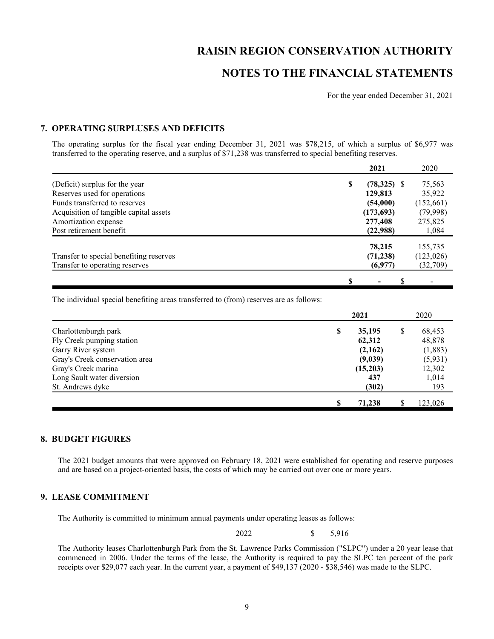## **NOTES TO THE FINANCIAL STATEMENTS**

For the year ended December 31, 2021

### **7. OPERATING SURPLUSES AND DEFICITS**

The operating surplus for the fiscal year ending December 31, 2021 was \$78,215, of which a surplus of \$6,977 was transferred to the operating reserve, and a surplus of \$71,238 was transferred to special benefiting reserves.

|                                         | 2021                 | 2020       |
|-----------------------------------------|----------------------|------------|
| (Deficit) surplus for the year          | \$<br>(78,325)<br>-S | 75,563     |
| Reserves used for operations            | 129,813              | 35,922     |
| Funds transferred to reserves           | (54,000)             | (152,661)  |
| Acquisition of tangible capital assets  | (173, 693)           | (79,998)   |
| Amortization expense                    | 277,408              | 275,825    |
| Post retirement benefit                 | (22,988)             | 1,084      |
|                                         | 78,215               | 155,735    |
| Transfer to special benefiting reserves | (71, 238)            | (123, 026) |
| Transfer to operating reserves          | (6,977)              | (32,709)   |
|                                         |                      |            |

The individual special benefiting areas transferred to (from) reserves are as follows:

|                                |   | 2021     |   | 2020    |
|--------------------------------|---|----------|---|---------|
| Charlottenburgh park           | S | 35,195   | S | 68,453  |
| Fly Creek pumping station      |   | 62,312   |   | 48,878  |
| Garry River system             |   | (2,162)  |   | (1,883) |
| Gray's Creek conservation area |   | (9,039)  |   | (5,931) |
| Gray's Creek marina            |   | (15,203) |   | 12,302  |
| Long Sault water diversion     |   | 437      |   | 1,014   |
| St. Andrews dyke               |   | (302)    |   | 193     |
|                                | S | 71.238   |   | 123,026 |

### **8. BUDGET FIGURES**

The 2021 budget amounts that were approved on February 18, 2021 were established for operating and reserve purposes and are based on a project-oriented basis, the costs of which may be carried out over one or more years.

### **9. LEASE COMMITMENT**

The Authority is committed to minimum annual payments under operating leases as follows:

2022 \$ 5,916

The Authority leases Charlottenburgh Park from the St. Lawrence Parks Commission ("SLPC") under a 20 year lease that commenced in 2006. Under the terms of the lease, the Authority is required to pay the SLPC ten percent of the park receipts over \$29,077 each year. In the current year, a payment of \$49,137 (2020 - \$38,546) was made to the SLPC.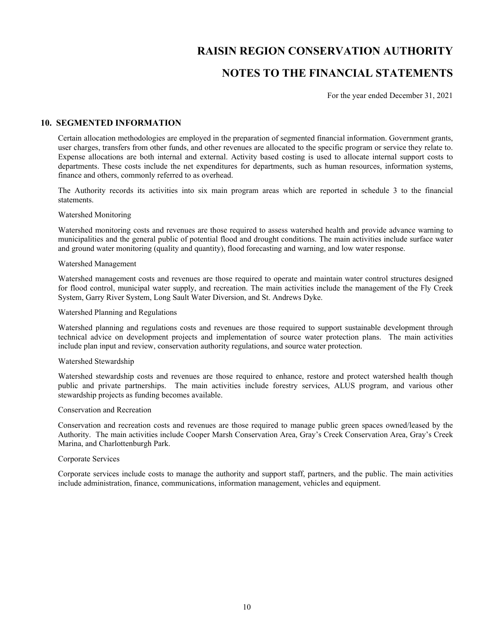## **NOTES TO THE FINANCIAL STATEMENTS**

For the year ended December 31, 2021

### **10. SEGMENTED INFORMATION**

Certain allocation methodologies are employed in the preparation of segmented financial information. Government grants, user charges, transfers from other funds, and other revenues are allocated to the specific program or service they relate to. Expense allocations are both internal and external. Activity based costing is used to allocate internal support costs to departments. These costs include the net expenditures for departments, such as human resources, information systems, finance and others, commonly referred to as overhead.

The Authority records its activities into six main program areas which are reported in schedule 3 to the financial statements.

#### Watershed Monitoring

Watershed monitoring costs and revenues are those required to assess watershed health and provide advance warning to municipalities and the general public of potential flood and drought conditions. The main activities include surface water and ground water monitoring (quality and quantity), flood forecasting and warning, and low water response.

#### Watershed Management

Watershed management costs and revenues are those required to operate and maintain water control structures designed for flood control, municipal water supply, and recreation. The main activities include the management of the Fly Creek System, Garry River System, Long Sault Water Diversion, and St. Andrews Dyke.

#### Watershed Planning and Regulations

Watershed planning and regulations costs and revenues are those required to support sustainable development through technical advice on development projects and implementation of source water protection plans. The main activities include plan input and review, conservation authority regulations, and source water protection.

#### Watershed Stewardship

Watershed stewardship costs and revenues are those required to enhance, restore and protect watershed health though public and private partnerships. The main activities include forestry services, ALUS program, and various other stewardship projects as funding becomes available.

#### Conservation and Recreation

Conservation and recreation costs and revenues are those required to manage public green spaces owned/leased by the Authority. The main activities include Cooper Marsh Conservation Area, Gray's Creek Conservation Area, Gray's Creek Marina, and Charlottenburgh Park.

#### Corporate Services

Corporate services include costs to manage the authority and support staff, partners, and the public. The main activities include administration, finance, communications, information management, vehicles and equipment.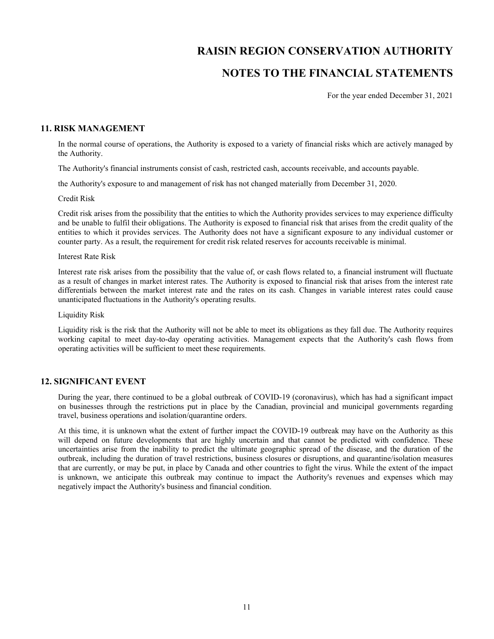### **NOTES TO THE FINANCIAL STATEMENTS**

For the year ended December 31, 2021

### **11. RISK MANAGEMENT**

In the normal course of operations, the Authority is exposed to a variety of financial risks which are actively managed by the Authority.

The Authority's financial instruments consist of cash, restricted cash, accounts receivable, and accounts payable.

the Authority's exposure to and management of risk has not changed materially from December 31, 2020.

Credit Risk

Credit risk arises from the possibility that the entities to which the Authority provides services to may experience difficulty and be unable to fulfil their obligations. The Authority is exposed to financial risk that arises from the credit quality of the entities to which it provides services. The Authority does not have a significant exposure to any individual customer or counter party. As a result, the requirement for credit risk related reserves for accounts receivable is minimal.

#### Interest Rate Risk

Interest rate risk arises from the possibility that the value of, or cash flows related to, a financial instrument will fluctuate as a result of changes in market interest rates. The Authority is exposed to financial risk that arises from the interest rate differentials between the market interest rate and the rates on its cash. Changes in variable interest rates could cause unanticipated fluctuations in the Authority's operating results.

Liquidity Risk

Liquidity risk is the risk that the Authority will not be able to meet its obligations as they fall due. The Authority requires working capital to meet day-to-day operating activities. Management expects that the Authority's cash flows from operating activities will be sufficient to meet these requirements.

### **12. SIGNIFICANT EVENT**

During the year, there continued to be a global outbreak of COVID-19 (coronavirus), which has had a significant impact on businesses through the restrictions put in place by the Canadian, provincial and municipal governments regarding travel, business operations and isolation/quarantine orders.

At this time, it is unknown what the extent of further impact the COVID-19 outbreak may have on the Authority as this will depend on future developments that are highly uncertain and that cannot be predicted with confidence. These uncertainties arise from the inability to predict the ultimate geographic spread of the disease, and the duration of the outbreak, including the duration of travel restrictions, business closures or disruptions, and quarantine/isolation measures that are currently, or may be put, in place by Canada and other countries to fight the virus. While the extent of the impact is unknown, we anticipate this outbreak may continue to impact the Authority's revenues and expenses which may negatively impact the Authority's business and financial condition.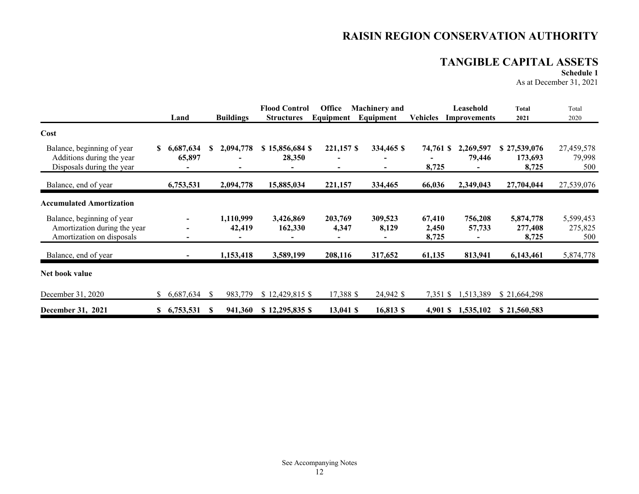## **TANGIBLE CAPITAL ASSETS**

**Schedule 1**

As at December 31, 2021

|                                                                                         |    |                     |    |                     | <b>Flood Control</b>      | <b>Office</b>    | <b>Machinery</b> and         |          |                          | Leasehold           | <b>Total</b>                     | Total                       |
|-----------------------------------------------------------------------------------------|----|---------------------|----|---------------------|---------------------------|------------------|------------------------------|----------|--------------------------|---------------------|----------------------------------|-----------------------------|
|                                                                                         |    | Land                |    | <b>Buildings</b>    | <b>Structures</b>         | Equipment        | Equipment                    | Vehicles |                          | Improvements        | 2021                             | 2020                        |
| Cost                                                                                    |    |                     |    |                     |                           |                  |                              |          |                          |                     |                                  |                             |
| Balance, beginning of year<br>Additions during the year<br>Disposals during the year    | S. | 6,687,634<br>65,897 |    | 2,094,778           | \$15,856,684 \$<br>28,350 | 221,157 \$<br>Ξ. | 334,465 \$<br>$\blacksquare$ |          | 74,761 \$<br>8,725       | 2,269,597<br>79,446 | \$27,539,076<br>173,693<br>8,725 | 27,459,578<br>79,998<br>500 |
| Balance, end of year                                                                    |    | 6,753,531           |    | 2,094,778           | 15,885,034                | 221,157          | 334,465                      |          | 66,036                   | 2,349,043           | 27,704,044                       | 27,539,076                  |
| <b>Accumulated Amortization</b>                                                         |    |                     |    |                     |                           |                  |                              |          |                          |                     |                                  |                             |
| Balance, beginning of year<br>Amortization during the year<br>Amortization on disposals |    |                     |    | 1,110,999<br>42,419 | 3,426,869<br>162,330      | 203,769<br>4,347 | 309,523<br>8,129             |          | 67,410<br>2,450<br>8,725 | 756,208<br>57,733   | 5,874,778<br>277,408<br>8,725    | 5,599,453<br>275,825<br>500 |
| Balance, end of year                                                                    |    |                     |    | 1,153,418           | 3,589,199                 | 208,116          | 317,652                      |          | 61,135                   | 813,941             | 6,143,461                        | 5,874,778                   |
| Net book value                                                                          |    |                     |    |                     |                           |                  |                              |          |                          |                     |                                  |                             |
| December 31, 2020                                                                       |    | 6,687,634           | S. | 983,779             | \$12,429,815              | 17,388 \$        | 24,942 \$                    |          | 7,351 \$                 | 1,513,389           | \$21,664,298                     |                             |
| December 31, 2021                                                                       |    | 6,753,531           | S  | 941,360             | $$12,295,835$ \$          | 13,041 \$        | 16,813 \$                    |          | 4,901 \$                 | 1,535,102           | \$21,560,583                     |                             |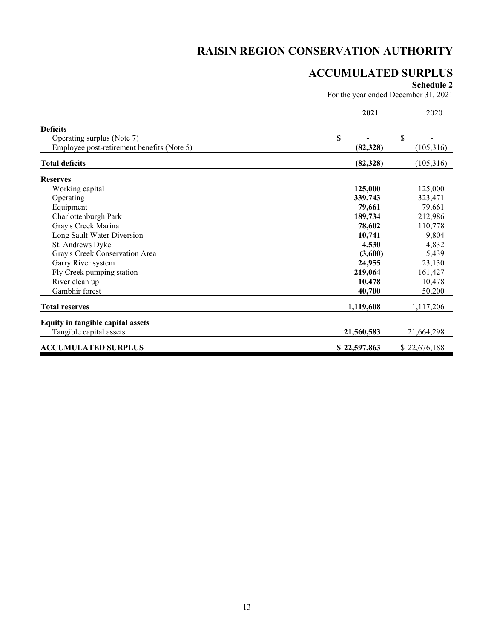## **ACCUMULATED SURPLUS**

**Schedule 2**

|                                               | 2021         | 2020         |
|-----------------------------------------------|--------------|--------------|
| <b>Deficits</b><br>Operating surplus (Note 7) | \$           | \$           |
| Employee post-retirement benefits (Note 5)    | (82, 328)    | (105,316)    |
| <b>Total deficits</b>                         | (82, 328)    | (105,316)    |
| <b>Reserves</b>                               |              |              |
| Working capital                               | 125,000      | 125,000      |
| Operating                                     | 339,743      | 323,471      |
| Equipment                                     | 79,661       | 79,661       |
| Charlottenburgh Park                          | 189,734      | 212,986      |
| Gray's Creek Marina                           | 78,602       | 110,778      |
| Long Sault Water Diversion                    | 10,741       | 9,804        |
| St. Andrews Dyke                              | 4,530        | 4,832        |
| Gray's Creek Conservation Area                | (3,600)      | 5,439        |
| Garry River system                            | 24,955       | 23,130       |
| Fly Creek pumping station                     | 219,064      | 161,427      |
| River clean up                                | 10,478       | 10,478       |
| Gambhir forest                                | 40,700       | 50,200       |
| <b>Total reserves</b>                         | 1,119,608    | 1,117,206    |
| Equity in tangible capital assets             |              |              |
| Tangible capital assets                       | 21,560,583   | 21,664,298   |
| <b>ACCUMULATED SURPLUS</b>                    | \$22,597,863 | \$22,676,188 |